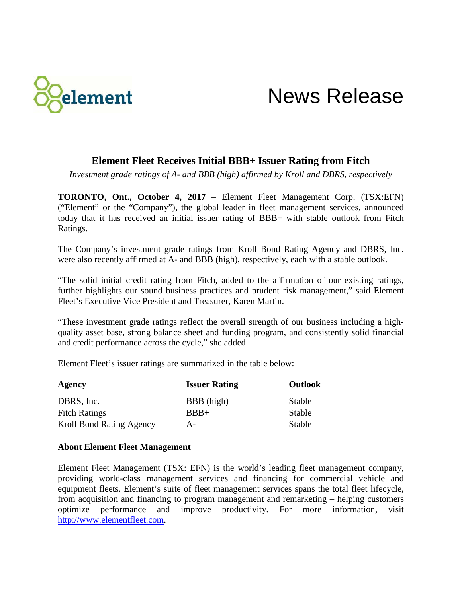

## News Release

## **Element Fleet Receives Initial BBB+ Issuer Rating from Fitch**

*Investment grade ratings of A- and BBB (high) affirmed by Kroll and DBRS, respectively*

**TORONTO, Ont., October 4, 2017** – Element Fleet Management Corp. (TSX:EFN) ("Element" or the "Company"), the global leader in fleet management services, announced today that it has received an initial issuer rating of BBB+ with stable outlook from Fitch Ratings.

The Company's investment grade ratings from Kroll Bond Rating Agency and DBRS, Inc. were also recently affirmed at A- and BBB (high), respectively, each with a stable outlook.

"The solid initial credit rating from Fitch, added to the affirmation of our existing ratings, further highlights our sound business practices and prudent risk management," said Element Fleet's Executive Vice President and Treasurer, Karen Martin.

"These investment grade ratings reflect the overall strength of our business including a highquality asset base, strong balance sheet and funding program, and consistently solid financial and credit performance across the cycle," she added.

Element Fleet's issuer ratings are summarized in the table below:

| Agency                   | <b>Issuer Rating</b> | Outlook |
|--------------------------|----------------------|---------|
| DBRS, Inc.               | BBB (high)           | Stable  |
| <b>Fitch Ratings</b>     | $BBB+$               | Stable  |
| Kroll Bond Rating Agency | А-                   | Stable  |

## **About Element Fleet Management**

Element Fleet Management (TSX: EFN) is the world's leading fleet management company, providing world-class management services and financing for commercial vehicle and equipment fleets. Element's suite of fleet management services spans the total fleet lifecycle, from acquisition and financing to program management and remarketing – helping customers optimize performance and improve productivity. For more information, visit [http://www.elementfleet.com.](http://www.elementfleet.com/)